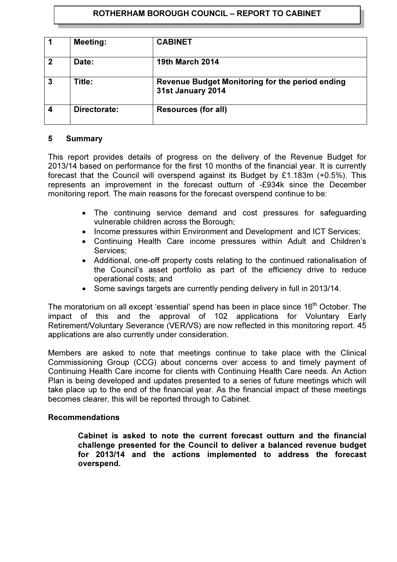## ROTHERHAM BOROUGH COUNCIL – REPORT TO CABINET

|              | <b>Meeting:</b> | <b>CABINET</b>                                                              |
|--------------|-----------------|-----------------------------------------------------------------------------|
| $\mathbf{2}$ | Date:           | <b>19th March 2014</b>                                                      |
| $\mathbf{3}$ | Title:          | <b>Revenue Budget Monitoring for the period ending</b><br>31st January 2014 |
| 4            | Directorate:    | <b>Resources (for all)</b>                                                  |

#### 5 Summary

This report provides details of progress on the delivery of the Revenue Budget for 2013/14 based on performance for the first 10 months of the financial year. It is currently forecast that the Council will overspend against its Budget by £1.183m (+0.5%). This represents an improvement in the forecast outturn of -£934k since the December monitoring report. The main reasons for the forecast overspend continue to be:

- The continuing service demand and cost pressures for safeguarding vulnerable children across the Borough;
- Income pressures within Environment and Development and ICT Services;
- Continuing Health Care income pressures within Adult and Children's Services;
- Additional, one-off property costs relating to the continued rationalisation of the Council's asset portfolio as part of the efficiency drive to reduce operational costs; and
- Some savings targets are currently pending delivery in full in 2013/14.

The moratorium on all except 'essential' spend has been in place since 16<sup>th</sup> October. The impact of this and the approval of 102 applications for Voluntary Early Retirement/Voluntary Severance (VER/VS) are now reflected in this monitoring report. 45 applications are also currently under consideration.

Members are asked to note that meetings continue to take place with the Clinical Commissioning Group (CCG) about concerns over access to and timely payment of Continuing Health Care income for clients with Continuing Health Care needs. An Action Plan is being developed and updates presented to a series of future meetings which will take place up to the end of the financial year. As the financial impact of these meetings becomes clearer, this will be reported through to Cabinet.

#### Recommendations

Cabinet is asked to note the current forecast outturn and the financial challenge presented for the Council to deliver a balanced revenue budget for 2013/14 and the actions implemented to address the forecast overspend.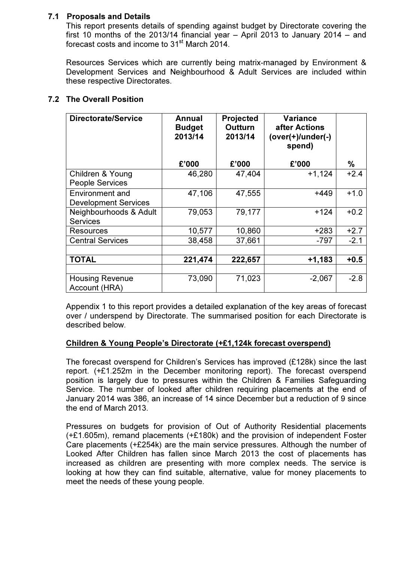## 7.1 Proposals and Details

This report presents details of spending against budget by Directorate covering the first 10 months of the 2013/14 financial year – April 2013 to January 2014 – and forecast costs and income to 31<sup>st</sup> March 2014.

Resources Services which are currently being matrix-managed by Environment & Development Services and Neighbourhood & Adult Services are included within these respective Directorates.

| <b>Directorate/Service</b>                            | Annual<br><b>Budget</b><br>2013/14 | <b>Projected</b><br><b>Outturn</b><br>2013/14 | <b>Variance</b><br>after Actions<br>(over(+)/under(-)<br>spend) |        |
|-------------------------------------------------------|------------------------------------|-----------------------------------------------|-----------------------------------------------------------------|--------|
|                                                       | £'000                              | £'000                                         | £'000                                                           | %      |
| Children & Young<br><b>People Services</b>            | 46,280                             | 47,404                                        | $+1,124$                                                        | $+2.4$ |
| <b>Environment and</b><br><b>Development Services</b> | 47,106                             | 47,555                                        | +449                                                            | $+1.0$ |
| Neighbourhoods & Adult<br><b>Services</b>             | 79,053                             | 79,177                                        | $+124$                                                          | $+0.2$ |
| <b>Resources</b>                                      | 10,577                             | 10,860                                        | $+283$                                                          | $+2.7$ |
| <b>Central Services</b>                               | 38,458                             | 37,661                                        | $-797$                                                          | $-2.1$ |
|                                                       |                                    |                                               |                                                                 |        |
| <b>TOTAL</b>                                          | 221,474                            | 222,657                                       | $+1,183$                                                        | $+0.5$ |
| <b>Housing Revenue</b><br>Account (HRA)               | 73,090                             | 71,023                                        | $-2,067$                                                        | $-2.8$ |

# 7.2 The Overall Position

 Appendix 1 to this report provides a detailed explanation of the key areas of forecast over / underspend by Directorate. The summarised position for each Directorate is described below.

#### Children & Young People's Directorate (+£1,124k forecast overspend)

The forecast overspend for Children's Services has improved (£128k) since the last report. (+£1.252m in the December monitoring report). The forecast overspend position is largely due to pressures within the Children & Families Safeguarding Service. The number of looked after children requiring placements at the end of January 2014 was 386, an increase of 14 since December but a reduction of 9 since the end of March 2013.

Pressures on budgets for provision of Out of Authority Residential placements (+£1.605m), remand placements (+£180k) and the provision of independent Foster Care placements (+£254k) are the main service pressures. Although the number of Looked After Children has fallen since March 2013 the cost of placements has increased as children are presenting with more complex needs. The service is looking at how they can find suitable, alternative, value for money placements to meet the needs of these young people.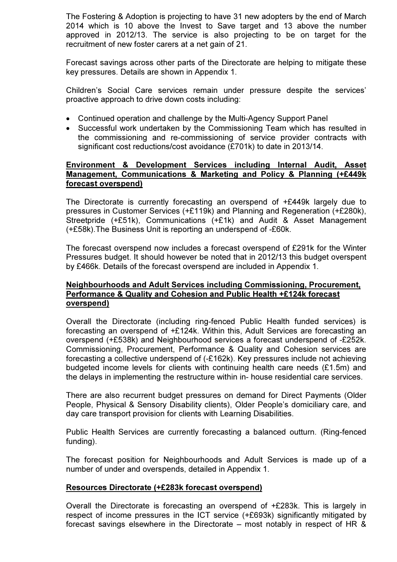The Fostering & Adoption is projecting to have 31 new adopters by the end of March 2014 which is 10 above the Invest to Save target and 13 above the number approved in 2012/13. The service is also projecting to be on target for the recruitment of new foster carers at a net gain of 21.

Forecast savings across other parts of the Directorate are helping to mitigate these key pressures. Details are shown in Appendix 1.

Children's Social Care services remain under pressure despite the services' proactive approach to drive down costs including:

- Continued operation and challenge by the Multi-Agency Support Panel
- Successful work undertaken by the Commissioning Team which has resulted in the commissioning and re-commissioning of service provider contracts with significant cost reductions/cost avoidance (£701k) to date in 2013/14.

#### Environment & Development Services including Internal Audit, Asset Management, Communications & Marketing and Policy & Planning (+£449k forecast overspend)

 The Directorate is currently forecasting an overspend of +£449k largely due to pressures in Customer Services (+£119k) and Planning and Regeneration (+£280k), Streetpride (+£51k), Communications (+£1k) and Audit & Asset Management (+£58k).The Business Unit is reporting an underspend of -£60k.

 The forecast overspend now includes a forecast overspend of £291k for the Winter Pressures budget. It should however be noted that in 2012/13 this budget overspent by £466k. Details of the forecast overspend are included in Appendix 1.

#### Neighbourhoods and Adult Services including Commissioning, Procurement, Performance & Quality and Cohesion and Public Health +£124k forecast overspend)

Overall the Directorate (including ring-fenced Public Health funded services) is forecasting an overspend of +£124k. Within this, Adult Services are forecasting an overspend (+£538k) and Neighbourhood services a forecast underspend of -£252k. Commissioning, Procurement, Performance & Quality and Cohesion services are forecasting a collective underspend of (-£162k). Key pressures include not achieving budgeted income levels for clients with continuing health care needs (£1.5m) and the delays in implementing the restructure within in- house residential care services.

There are also recurrent budget pressures on demand for Direct Payments (Older People, Physical & Sensory Disability clients), Older People's domiciliary care, and day care transport provision for clients with Learning Disabilities.

Public Health Services are currently forecasting a balanced outturn. (Ring-fenced funding).

The forecast position for Neighbourhoods and Adult Services is made up of a number of under and overspends, detailed in Appendix 1.

#### Resources Directorate (+£283k forecast overspend)

Overall the Directorate is forecasting an overspend of +£283k. This is largely in respect of income pressures in the ICT service (+£693k) significantly mitigated by forecast savings elsewhere in the Directorate – most notably in respect of HR &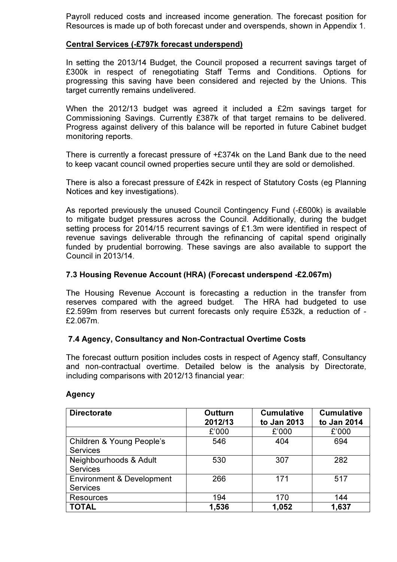Payroll reduced costs and increased income generation. The forecast position for Resources is made up of both forecast under and overspends, shown in Appendix 1.

## Central Services (-£797k forecast underspend)

In setting the 2013/14 Budget, the Council proposed a recurrent savings target of £300k in respect of renegotiating Staff Terms and Conditions. Options for progressing this saving have been considered and rejected by the Unions. This target currently remains undelivered.

When the 2012/13 budget was agreed it included a £2m savings target for Commissioning Savings. Currently £387k of that target remains to be delivered. Progress against delivery of this balance will be reported in future Cabinet budget monitoring reports.

There is currently a forecast pressure of +£374k on the Land Bank due to the need to keep vacant council owned properties secure until they are sold or demolished.

There is also a forecast pressure of £42k in respect of Statutory Costs (eg Planning Notices and key investigations).

As reported previously the unused Council Contingency Fund (-£600k) is available to mitigate budget pressures across the Council. Additionally, during the budget setting process for 2014/15 recurrent savings of £1.3m were identified in respect of revenue savings deliverable through the refinancing of capital spend originally funded by prudential borrowing. These savings are also available to support the Council in 2013/14.

## 7.3 Housing Revenue Account (HRA) (Forecast underspend -£2.067m)

The Housing Revenue Account is forecasting a reduction in the transfer from reserves compared with the agreed budget. The HRA had budgeted to use £2.599m from reserves but current forecasts only require £532k, a reduction of - £2.067m.

#### 7.4 Agency, Consultancy and Non-Contractual Overtime Costs

The forecast outturn position includes costs in respect of Agency staff, Consultancy and non-contractual overtime. Detailed below is the analysis by Directorate, including comparisons with 2012/13 financial year:

| <b>Directorate</b>                                      | <b>Outturn</b><br>2012/13 | <b>Cumulative</b><br>to Jan 2013 | <b>Cumulative</b><br>to Jan 2014 |  |
|---------------------------------------------------------|---------------------------|----------------------------------|----------------------------------|--|
|                                                         | £'000                     | £'000                            | £'000                            |  |
| Children & Young People's<br><b>Services</b>            | 546                       | 404                              | 694                              |  |
| Neighbourhoods & Adult<br><b>Services</b>               | 530                       | 307                              | 282                              |  |
| <b>Environment &amp; Development</b><br><b>Services</b> | 266                       | 171                              | 517                              |  |
| <b>Resources</b>                                        | 194                       | 170                              | 144                              |  |
| <b>TOTAL</b>                                            | 1,536                     | 1,052                            | 1,637                            |  |

#### Agency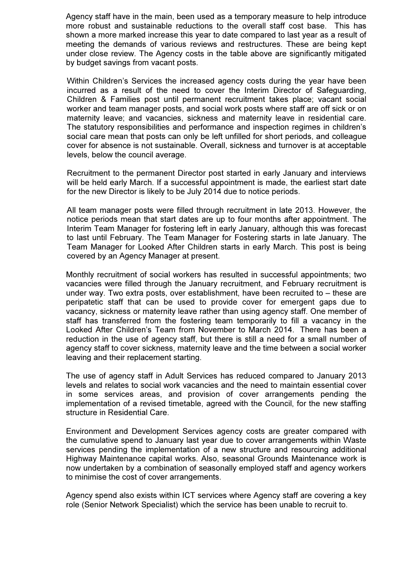Agency staff have in the main, been used as a temporary measure to help introduce more robust and sustainable reductions to the overall staff cost base. This has shown a more marked increase this year to date compared to last year as a result of meeting the demands of various reviews and restructures. These are being kept under close review. The Agency costs in the table above are significantly mitigated by budget savings from vacant posts.

Within Children's Services the increased agency costs during the year have been incurred as a result of the need to cover the Interim Director of Safeguarding, Children & Families post until permanent recruitment takes place; vacant social worker and team manager posts, and social work posts where staff are off sick or on maternity leave; and vacancies, sickness and maternity leave in residential care. The statutory responsibilities and performance and inspection regimes in children's social care mean that posts can only be left unfilled for short periods, and colleague cover for absence is not sustainable. Overall, sickness and turnover is at acceptable levels, below the council average.

Recruitment to the permanent Director post started in early January and interviews will be held early March. If a successful appointment is made, the earliest start date for the new Director is likely to be July 2014 due to notice periods.

All team manager posts were filled through recruitment in late 2013. However, the notice periods mean that start dates are up to four months after appointment. The Interim Team Manager for fostering left in early January, although this was forecast to last until February. The Team Manager for Fostering starts in late January. The Team Manager for Looked After Children starts in early March. This post is being covered by an Agency Manager at present.

Monthly recruitment of social workers has resulted in successful appointments; two vacancies were filled through the January recruitment, and February recruitment is under way. Two extra posts, over establishment, have been recruited to – these are peripatetic staff that can be used to provide cover for emergent gaps due to vacancy, sickness or maternity leave rather than using agency staff. One member of staff has transferred from the fostering team temporarily to fill a vacancy in the Looked After Children's Team from November to March 2014. There has been a reduction in the use of agency staff, but there is still a need for a small number of agency staff to cover sickness, maternity leave and the time between a social worker leaving and their replacement starting.

The use of agency staff in Adult Services has reduced compared to January 2013 levels and relates to social work vacancies and the need to maintain essential cover in some services areas, and provision of cover arrangements pending the implementation of a revised timetable, agreed with the Council, for the new staffing structure in Residential Care.

Environment and Development Services agency costs are greater compared with the cumulative spend to January last year due to cover arrangements within Waste services pending the implementation of a new structure and resourcing additional Highway Maintenance capital works. Also, seasonal Grounds Maintenance work is now undertaken by a combination of seasonally employed staff and agency workers to minimise the cost of cover arrangements.

Agency spend also exists within ICT services where Agency staff are covering a key role (Senior Network Specialist) which the service has been unable to recruit to.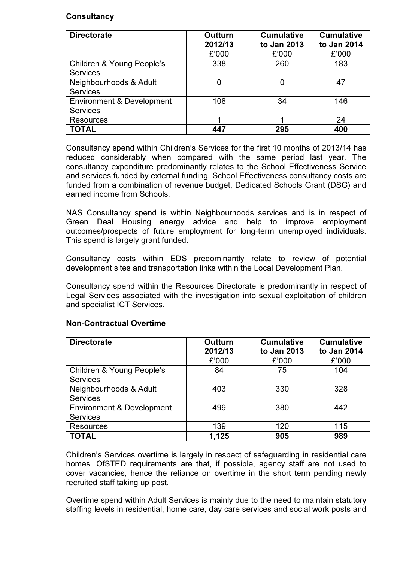## **Consultancy**

| <b>Directorate</b>                                      | <b>Outturn</b><br>2012/13 | <b>Cumulative</b><br>to Jan 2013 | <b>Cumulative</b><br>to Jan 2014 |  |
|---------------------------------------------------------|---------------------------|----------------------------------|----------------------------------|--|
|                                                         | £'000                     | £'000                            | £'000                            |  |
| Children & Young People's<br><b>Services</b>            | 338                       | 260                              | 183                              |  |
| Neighbourhoods & Adult<br><b>Services</b>               | 0                         | 0                                | 47                               |  |
| <b>Environment &amp; Development</b><br><b>Services</b> | 108                       | 34                               | 146                              |  |
| <b>Resources</b>                                        |                           |                                  | 24                               |  |
| <b>TOTAL</b>                                            | 447                       | 295                              | 400                              |  |

Consultancy spend within Children's Services for the first 10 months of 2013/14 has reduced considerably when compared with the same period last year. The consultancy expenditure predominantly relates to the School Effectiveness Service and services funded by external funding. School Effectiveness consultancy costs are funded from a combination of revenue budget, Dedicated Schools Grant (DSG) and earned income from Schools.

NAS Consultancy spend is within Neighbourhoods services and is in respect of Green Deal Housing energy advice and help to improve employment outcomes/prospects of future employment for long-term unemployed individuals. This spend is largely grant funded.

Consultancy costs within EDS predominantly relate to review of potential development sites and transportation links within the Local Development Plan.

Consultancy spend within the Resources Directorate is predominantly in respect of Legal Services associated with the investigation into sexual exploitation of children and specialist ICT Services.

| <b>Directorate</b>                                      | <b>Outturn</b><br>2012/13 | <b>Cumulative</b><br>to Jan 2013 | <b>Cumulative</b><br>to Jan 2014 |  |
|---------------------------------------------------------|---------------------------|----------------------------------|----------------------------------|--|
|                                                         | £'000                     | £'000                            | £'000                            |  |
| Children & Young People's<br><b>Services</b>            | 84                        | 75                               | 104                              |  |
| Neighbourhoods & Adult<br><b>Services</b>               | 403                       | 330                              | 328                              |  |
| <b>Environment &amp; Development</b><br><b>Services</b> | 499                       | 380                              | 442                              |  |
| <b>Resources</b>                                        | 139                       | 120                              | 115                              |  |
| <b>TOTAL</b>                                            | 1,125                     | 905                              | 989                              |  |

#### Non-Contractual Overtime

Children's Services overtime is largely in respect of safeguarding in residential care homes. OfSTED requirements are that, if possible, agency staff are not used to cover vacancies, hence the reliance on overtime in the short term pending newly recruited staff taking up post.

Overtime spend within Adult Services is mainly due to the need to maintain statutory staffing levels in residential, home care, day care services and social work posts and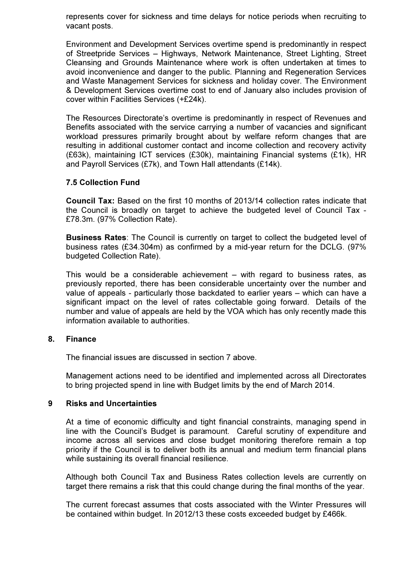represents cover for sickness and time delays for notice periods when recruiting to vacant posts.

Environment and Development Services overtime spend is predominantly in respect of Streetpride Services – Highways, Network Maintenance, Street Lighting, Street Cleansing and Grounds Maintenance where work is often undertaken at times to avoid inconvenience and danger to the public. Planning and Regeneration Services and Waste Management Services for sickness and holiday cover. The Environment & Development Services overtime cost to end of January also includes provision of cover within Facilities Services (+£24k).

The Resources Directorate's overtime is predominantly in respect of Revenues and Benefits associated with the service carrying a number of vacancies and significant workload pressures primarily brought about by welfare reform changes that are resulting in additional customer contact and income collection and recovery activity (£63k), maintaining ICT services (£30k), maintaining Financial systems (£1k), HR and Payroll Services (£7k), and Town Hall attendants (£14k).

#### 7.5 Collection Fund

Council Tax: Based on the first 10 months of 2013/14 collection rates indicate that the Council is broadly on target to achieve the budgeted level of Council Tax - £78.3m. (97% Collection Rate).

Business Rates: The Council is currently on target to collect the budgeted level of business rates (£34.304m) as confirmed by a mid-year return for the DCLG. (97% budgeted Collection Rate).

This would be a considerable achievement – with regard to business rates, as previously reported, there has been considerable uncertainty over the number and value of appeals - particularly those backdated to earlier years – which can have a significant impact on the level of rates collectable going forward. Details of the number and value of appeals are held by the VOA which has only recently made this information available to authorities.

#### 8. Finance

The financial issues are discussed in section 7 above.

Management actions need to be identified and implemented across all Directorates to bring projected spend in line with Budget limits by the end of March 2014.

#### 9 Risks and Uncertainties

At a time of economic difficulty and tight financial constraints, managing spend in line with the Council's Budget is paramount. Careful scrutiny of expenditure and income across all services and close budget monitoring therefore remain a top priority if the Council is to deliver both its annual and medium term financial plans while sustaining its overall financial resilience.

Although both Council Tax and Business Rates collection levels are currently on target there remains a risk that this could change during the final months of the year.

The current forecast assumes that costs associated with the Winter Pressures will be contained within budget. In 2012/13 these costs exceeded budget by £466k.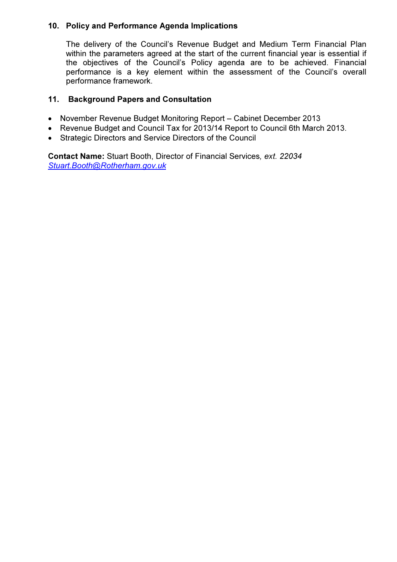# 10. Policy and Performance Agenda Implications

The delivery of the Council's Revenue Budget and Medium Term Financial Plan within the parameters agreed at the start of the current financial year is essential if the objectives of the Council's Policy agenda are to be achieved. Financial performance is a key element within the assessment of the Council's overall performance framework.

# 11. Background Papers and Consultation

- November Revenue Budget Monitoring Report Cabinet December 2013
- Revenue Budget and Council Tax for 2013/14 Report to Council 6th March 2013.
- Strategic Directors and Service Directors of the Council

Contact Name: Stuart Booth, Director of Financial Services, ext. 22034 Stuart.Booth@Rotherham.gov.uk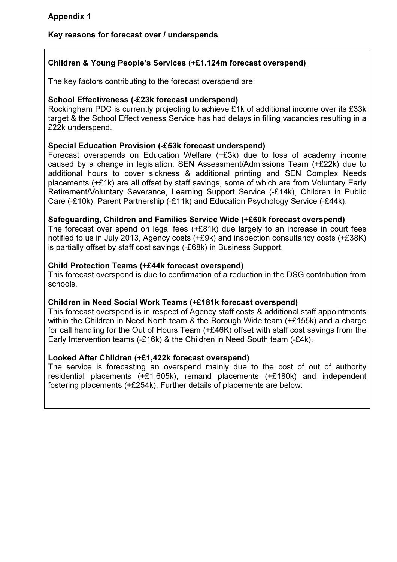# Key reasons for forecast over / underspends

# Children & Young People's Services (+£1.124m forecast overspend)

The key factors contributing to the forecast overspend are:

## School Effectiveness (-£23k forecast underspend)

Rockingham PDC is currently projecting to achieve £1k of additional income over its £33k target & the School Effectiveness Service has had delays in filling vacancies resulting in a £22k underspend.

## Special Education Provision (-£53k forecast underspend)

Forecast overspends on Education Welfare (+£3k) due to loss of academy income caused by a change in legislation, SEN Assessment/Admissions Team (+£22k) due to additional hours to cover sickness & additional printing and SEN Complex Needs placements (+£1k) are all offset by staff savings, some of which are from Voluntary Early Retirement/Voluntary Severance, Learning Support Service (-£14k), Children in Public Care (-£10k), Parent Partnership (-£11k) and Education Psychology Service (-£44k).

## Safeguarding, Children and Families Service Wide (+£60k forecast overspend)

The forecast over spend on legal fees (+£81k) due largely to an increase in court fees notified to us in July 2013, Agency costs (+£9k) and inspection consultancy costs (+£38K) is partially offset by staff cost savings (-£68k) in Business Support.

## Child Protection Teams (+£44k forecast overspend)

This forecast overspend is due to confirmation of a reduction in the DSG contribution from schools.

#### Children in Need Social Work Teams (+£181k forecast overspend)

This forecast overspend is in respect of Agency staff costs & additional staff appointments within the Children in Need North team & the Borough Wide team (+£155k) and a charge for call handling for the Out of Hours Team (+£46K) offset with staff cost savings from the Early Intervention teams (-£16k) & the Children in Need South team (-£4k).

# Looked After Children (+£1,422k forecast overspend)

The service is forecasting an overspend mainly due to the cost of out of authority residential placements (+£1,605k), remand placements (+£180k) and independent fostering placements (+£254k). Further details of placements are below: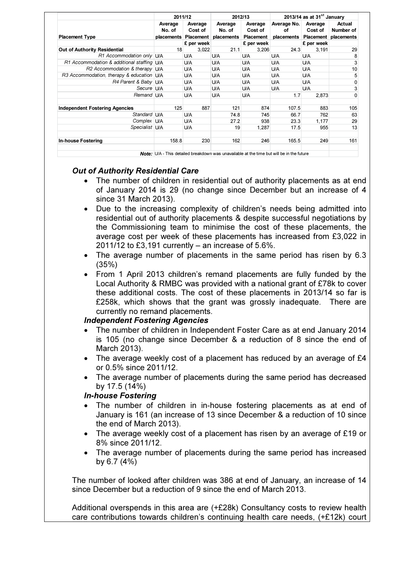|                                            | 2011/12              |            | 2012/13              |            | 2013/14 as at $31st$ January                                                                                      |            |                                 |
|--------------------------------------------|----------------------|------------|----------------------|------------|-------------------------------------------------------------------------------------------------------------------|------------|---------------------------------|
|                                            | Average              | Average    | Average              | Average    | Average No.                                                                                                       | Average    | Actual                          |
|                                            | No. of               | Cost of    | No. of               | Cost of    | οf                                                                                                                | Cost of    | Number of                       |
| <b>Placement Type</b>                      | placements Placement |            | placements Placement |            |                                                                                                                   |            | placements Placement placements |
|                                            |                      | £ per week |                      | £ per week |                                                                                                                   | £ per week |                                 |
| Out of Authority Residential               | 18                   | 3,022      | 21.1                 | 3,206      | 24.3                                                                                                              | 3,191      | 29                              |
| R1 Accommodation only U/A                  |                      | U/A        | U/A                  | U/A        | U/A                                                                                                               | U/A        | 8                               |
| R1 Accommodation & additional staffing U/A |                      | U/A        | U/A                  | U/A        | U/A                                                                                                               | U/A        | 3                               |
| R2 Accommodation & therapy U/A             |                      | U/A        | U/A                  | U/A        | U/A                                                                                                               | U/A        | 10                              |
| R3 Accommodation, therapy & education U/A  |                      | U/A        | U/A                  | U/A        | U/A                                                                                                               | U/A        | 5                               |
| R4 Parent & Baby U/A                       |                      | U/A        | U/A                  | U/A        | U/A                                                                                                               | U/A        | 0                               |
| Secure U/A                                 |                      | U/A        | U/A                  | U/A        | U/A                                                                                                               | <b>U/A</b> | 3                               |
| Remand U/A                                 |                      | <b>U/A</b> | U/A                  | U/A        | 1.7                                                                                                               | 2,873      | 0                               |
| <b>Independent Fostering Agencies</b>      | 125                  | 887        | 121                  | 874        | 107.5                                                                                                             | 883        | 105                             |
| Standard U/A                               |                      | U/A        | 74.8                 | 745        | 66.7                                                                                                              | 762        | 63                              |
| Complex U/A                                |                      | U/A        | 27.2                 | 938        | 23.3                                                                                                              | 1,177      | 29                              |
| Specialist U/A                             |                      | U/A        | 19                   | 1,287      | 17.5                                                                                                              | 955        | 13                              |
| <b>In-house Fostering</b>                  | 158.8                | 230        | 162                  | 246        | 165.5                                                                                                             | 249        | 161                             |
|                                            |                      |            |                      |            | All 2008 THAT THE STATE IS THE CHARGE OF THE CONTRACT CARDS AND THE CHARGE IN A STATE OF THE CHARGE IS AN INCOME. |            |                                 |

This detailed breakdown was unavailable at the time but will be in the future

# Out of Authority Residential Care

- The number of children in residential out of authority placements as at end of January 2014 is 29 (no change since December but an increase of 4 since 31 March 2013).
- Due to the increasing complexity of children's needs being admitted into residential out of authority placements & despite successful negotiations by the Commissioning team to minimise the cost of these placements, the average cost per week of these placements has increased from £3,022 in 2011/12 to £3,191 currently – an increase of 5.6%.
- The average number of placements in the same period has risen by 6.3 (35%)
- From 1 April 2013 children's remand placements are fully funded by the Local Authority & RMBC was provided with a national grant of £78k to cover these additional costs. The cost of these placements in 2013/14 so far is £258k, which shows that the grant was grossly inadequate. There are currently no remand placements.

# Independent Fostering Agencies

- The number of children in Independent Foster Care as at end January 2014 is 105 (no change since December & a reduction of 8 since the end of March 2013).
- The average weekly cost of a placement has reduced by an average of £4 or 0.5% since 2011/12.
- The average number of placements during the same period has decreased by 17.5 (14%)

#### In-house Fostering

- The number of children in in-house fostering placements as at end of January is 161 (an increase of 13 since December & a reduction of 10 since the end of March 2013).
- The average weekly cost of a placement has risen by an average of £19 or 8% since 2011/12.
- The average number of placements during the same period has increased by 6.7 (4%)

The number of looked after children was 386 at end of January, an increase of 14 since December but a reduction of 9 since the end of March 2013.

Additional overspends in this area are (+£28k) Consultancy costs to review health care contributions towards children's continuing health care needs, (+£12k) court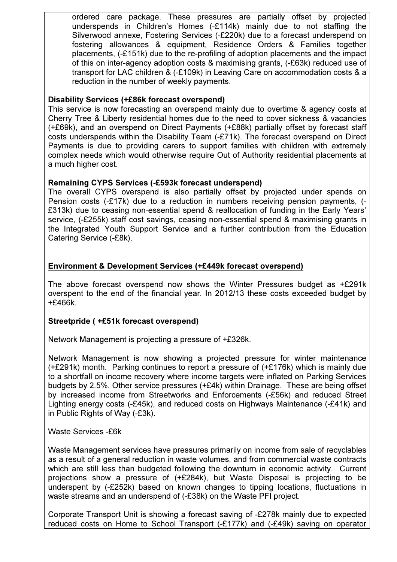ordered care package. These pressures are partially offset by projected underspends in Children's Homes (-£114k) mainly due to not staffing the Silverwood annexe, Fostering Services (-£220k) due to a forecast underspend on fostering allowances & equipment, Residence Orders & Families together placements, (-£151k) due to the re-profiling of adoption placements and the impact of this on inter-agency adoption costs & maximising grants, (-£63k) reduced use of transport for LAC children & (-£109k) in Leaving Care on accommodation costs & a reduction in the number of weekly payments.

#### Disability Services (+£86k forecast overspend)

This service is now forecasting an overspend mainly due to overtime & agency costs at Cherry Tree & Liberty residential homes due to the need to cover sickness & vacancies (+£69k), and an overspend on Direct Payments (+£88k) partially offset by forecast staff costs underspends within the Disability Team (-£71k). The forecast overspend on Direct Payments is due to providing carers to support families with children with extremely complex needs which would otherwise require Out of Authority residential placements at a much higher cost.

## Remaining CYPS Services (-£593k forecast underspend)

The overall CYPS overspend is also partially offset by projected under spends on Pension costs (-£17k) due to a reduction in numbers receiving pension payments, (- £313k) due to ceasing non-essential spend & reallocation of funding in the Early Years' service, (-£255k) staff cost savings, ceasing non-essential spend & maximising grants in the Integrated Youth Support Service and a further contribution from the Education Catering Service (-£8k).

# Environment & Development Services (+£449k forecast overspend)

The above forecast overspend now shows the Winter Pressures budget as +£291k overspent to the end of the financial year. In 2012/13 these costs exceeded budget by +£466k.

# Streetpride ( +£51k forecast overspend)

Network Management is projecting a pressure of +£326k.

Network Management is now showing a projected pressure for winter maintenance (+£291k) month. Parking continues to report a pressure of (+£176k) which is mainly due to a shortfall on income recovery where income targets were inflated on Parking Services budgets by 2.5%. Other service pressures (+£4k) within Drainage. These are being offset by increased income from Streetworks and Enforcements (-£56k) and reduced Street Lighting energy costs (-£45k), and reduced costs on Highways Maintenance (-£41k) and in Public Rights of Way (-£3k).

#### Waste Services -£6k

Waste Management services have pressures primarily on income from sale of recyclables as a result of a general reduction in waste volumes, and from commercial waste contracts which are still less than budgeted following the downturn in economic activity. Current projections show a pressure of (+£284k), but Waste Disposal is projecting to be underspent by (-£252k) based on known changes to tipping locations, fluctuations in waste streams and an underspend of (-£38k) on the Waste PFI project.

Corporate Transport Unit is showing a forecast saving of -£278k mainly due to expected reduced costs on Home to School Transport (-£177k) and (-£49k) saving on operator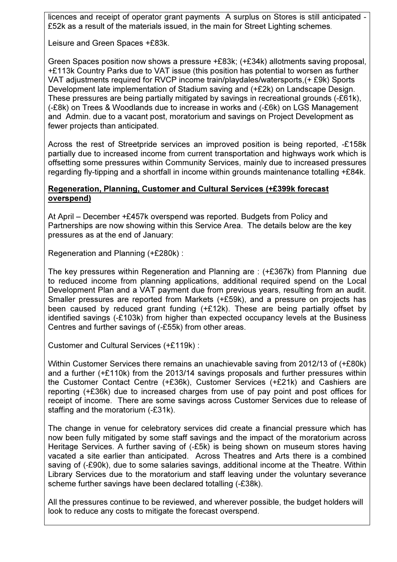licences and receipt of operator grant payments A surplus on Stores is still anticipated - £52k as a result of the materials issued, in the main for Street Lighting schemes.

Leisure and Green Spaces +£83k.

Green Spaces position now shows a pressure +£83k; (+£34k) allotments saving proposal, +£113k Country Parks due to VAT issue (this position has potential to worsen as further VAT adjustments required for RVCP income train/playdales/watersports,(+ £9k) Sports Development late implementation of Stadium saving and (+£2k) on Landscape Design. These pressures are being partially mitigated by savings in recreational grounds (-£61k), (-£8k) on Trees & Woodlands due to increase in works and (-£6k) on LGS Management and Admin. due to a vacant post, moratorium and savings on Project Development as fewer projects than anticipated.

Across the rest of Streetpride services an improved position is being reported, -£158k partially due to increased income from current transportation and highways work which is offsetting some pressures within Community Services, mainly due to increased pressures regarding fly-tipping and a shortfall in income within grounds maintenance totalling +£84k.

#### Regeneration, Planning, Customer and Cultural Services (+£399k forecast overspend)

At April – December +£457k overspend was reported. Budgets from Policy and Partnerships are now showing within this Service Area. The details below are the key pressures as at the end of January:

Regeneration and Planning (+£280k) :

The key pressures within Regeneration and Planning are : (+£367k) from Planning due to reduced income from planning applications, additional required spend on the Local Development Plan and a VAT payment due from previous years, resulting from an audit. Smaller pressures are reported from Markets (+£59k), and a pressure on projects has been caused by reduced grant funding (+£12k). These are being partially offset by identified savings (-£103k) from higher than expected occupancy levels at the Business Centres and further savings of (-£55k) from other areas.

Customer and Cultural Services (+£119k) :

Within Customer Services there remains an unachievable saving from 2012/13 of (+£80k) and a further (+£110k) from the 2013/14 savings proposals and further pressures within the Customer Contact Centre (+£36k), Customer Services (+£21k) and Cashiers are reporting (+£36k) due to increased charges from use of pay point and post offices for receipt of income. There are some savings across Customer Services due to release of staffing and the moratorium (-£31k).

The change in venue for celebratory services did create a financial pressure which has now been fully mitigated by some staff savings and the impact of the moratorium across Heritage Services. A further saving of (-£5k) is being shown on museum stores having vacated a site earlier than anticipated. Across Theatres and Arts there is a combined saving of (-£90k), due to some salaries savings, additional income at the Theatre. Within Library Services due to the moratorium and staff leaving under the voluntary severance scheme further savings have been declared totalling (-£38k).

All the pressures continue to be reviewed, and wherever possible, the budget holders will look to reduce any costs to mitigate the forecast overspend.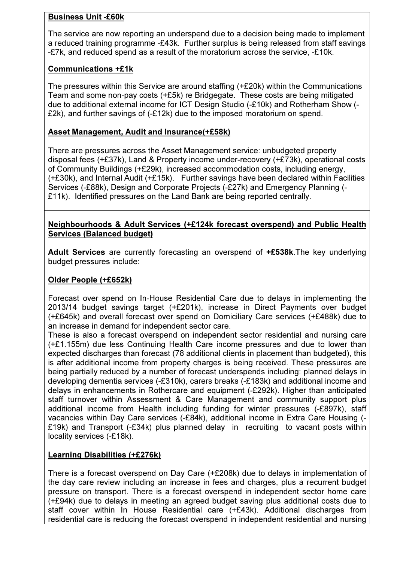# Business Unit -£60k

The service are now reporting an underspend due to a decision being made to implement a reduced training programme -£43k. Further surplus is being released from staff savings -£7k, and reduced spend as a result of the moratorium across the service, -£10k.

# Communications +£1k

The pressures within this Service are around staffing (+£20k) within the Communications Team and some non-pay costs (+£5k) re Bridgegate. These costs are being mitigated due to additional external income for ICT Design Studio (-£10k) and Rotherham Show (- £2k), and further savings of (-£12k) due to the imposed moratorium on spend.

## Asset Management, Audit and Insurance(+£58k)

There are pressures across the Asset Management service: unbudgeted property disposal fees (+£37k), Land & Property income under-recovery (+£73k), operational costs of Community Buildings (+£29k), increased accommodation costs, including energy, (+£30k), and Internal Audit (+£15k). Further savings have been declared within Facilities Services (-£88k), Design and Corporate Projects (-£27k) and Emergency Planning (- £11k). Identified pressures on the Land Bank are being reported centrally.

## Neighbourhoods & Adult Services (+£124k forecast overspend) and Public Health Services (Balanced budget)

Adult Services are currently forecasting an overspend of +£538k. The key underlying budget pressures include:

## Older People (+£652k)

Forecast over spend on In-House Residential Care due to delays in implementing the 2013/14 budget savings target (+£201k), increase in Direct Payments over budget (+£645k) and overall forecast over spend on Domiciliary Care services (+£488k) due to an increase in demand for independent sector care.

These is also a forecast overspend on independent sector residential and nursing care (+£1.155m) due less Continuing Health Care income pressures and due to lower than expected discharges than forecast (78 additional clients in placement than budgeted), this is after additional income from property charges is being received. These pressures are being partially reduced by a number of forecast underspends including: planned delays in developing dementia services (-£310k), carers breaks (-£183k) and additional income and delays in enhancements in Rothercare and equipment (-£292k). Higher than anticipated staff turnover within Assessment & Care Management and community support plus additional income from Health including funding for winter pressures (-£897k), staff vacancies within Day Care services (-£84k), additional income in Extra Care Housing (- £19k) and Transport (-£34k) plus planned delay in recruiting to vacant posts within locality services (-£18k).

# Learning Disabilities (+£276k)

There is a forecast overspend on Day Care (+£208k) due to delays in implementation of the day care review including an increase in fees and charges, plus a recurrent budget pressure on transport. There is a forecast overspend in independent sector home care (+£94k) due to delays in meeting an agreed budget saving plus additional costs due to staff cover within In House Residential care (+£43k). Additional discharges from residential care is reducing the forecast overspend in independent residential and nursing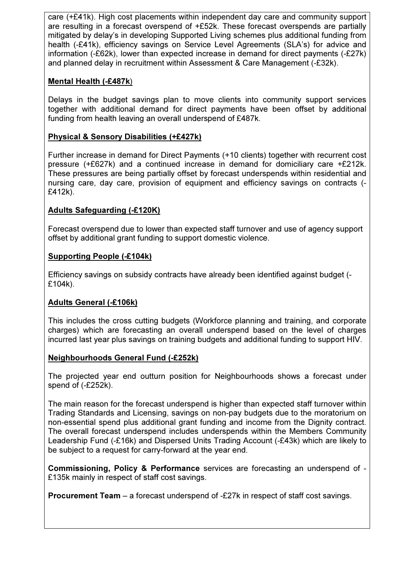care (+£41k). High cost placements within independent day care and community support are resulting in a forecast overspend of +£52k. These forecast overspends are partially mitigated by delay's in developing Supported Living schemes plus additional funding from health (-£41k), efficiency savings on Service Level Agreements (SLA's) for advice and information (-£62k), lower than expected increase in demand for direct payments (-£27k) and planned delay in recruitment within Assessment & Care Management (-£32k).

# Mental Health (-£487k)

Delays in the budget savings plan to move clients into community support services together with additional demand for direct payments have been offset by additional funding from health leaving an overall underspend of £487k.

# Physical & Sensory Disabilities (+£427k)

Further increase in demand for Direct Payments (+10 clients) together with recurrent cost pressure (+£627k) and a continued increase in demand for domiciliary care +£212k. These pressures are being partially offset by forecast underspends within residential and nursing care, day care, provision of equipment and efficiency savings on contracts (- £412k).

# Adults Safeguarding (-£120K)

Forecast overspend due to lower than expected staff turnover and use of agency support offset by additional grant funding to support domestic violence.

## Supporting People (-£104k)

Efficiency savings on subsidy contracts have already been identified against budget (- £104k).

# Adults General (-£106k)

This includes the cross cutting budgets (Workforce planning and training, and corporate charges) which are forecasting an overall underspend based on the level of charges incurred last year plus savings on training budgets and additional funding to support HIV.

# Neighbourhoods General Fund (-£252k)

The projected year end outturn position for Neighbourhoods shows a forecast under spend of (-£252k).

The main reason for the forecast underspend is higher than expected staff turnover within Trading Standards and Licensing, savings on non-pay budgets due to the moratorium on non-essential spend plus additional grant funding and income from the Dignity contract. The overall forecast underspend includes underspends within the Members Community Leadership Fund (-£16k) and Dispersed Units Trading Account (-£43k) which are likely to be subject to a request for carry-forward at the year end.

Commissioning, Policy & Performance services are forecasting an underspend of - £135k mainly in respect of staff cost savings.

Procurement Team – a forecast underspend of -£27k in respect of staff cost savings.